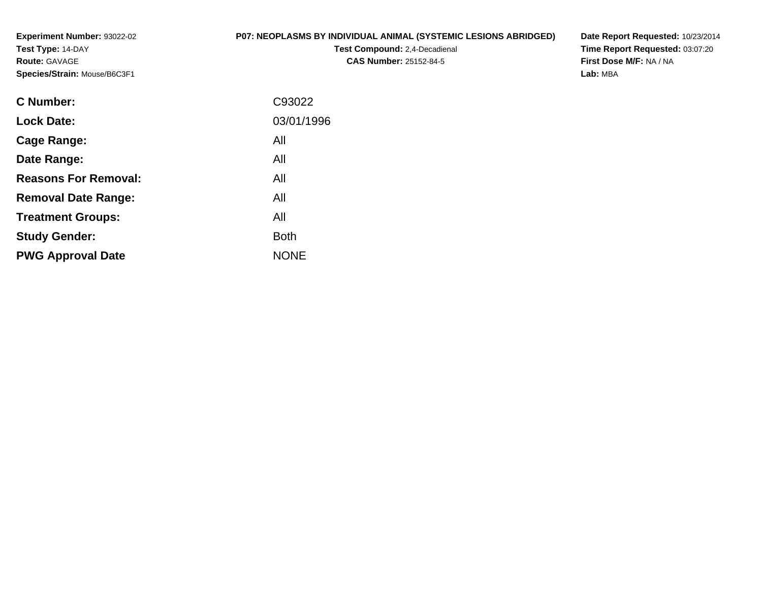**Experiment Number:** 93022-02**Test Type:** 14-DAY**Route:** GAVAGE**Species/Strain:** Mouse/B6C3F1

# **P07: NEOPLASMS BY INDIVIDUAL ANIMAL (SYSTEMIC LESIONS ABRIDGED)**

**Test Compound:** 2,4-Decadienal **CAS Number:** 25152-84-5

**Date Report Requested:** 10/23/2014 **Time Report Requested:** 03:07:20**First Dose M/F:** NA / NA**Lab:** MBA

| C93022      |
|-------------|
| 03/01/1996  |
| All         |
| All         |
| All         |
| All         |
| All         |
| <b>Both</b> |
| <b>NONE</b> |
|             |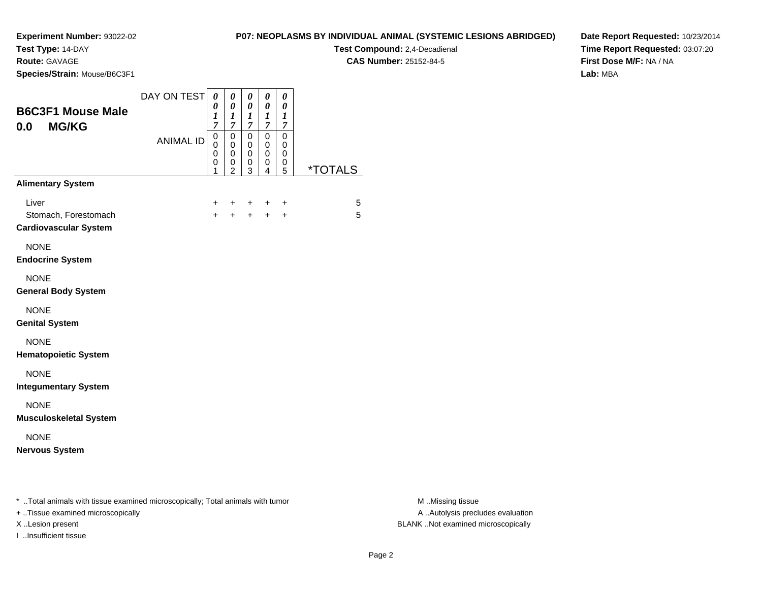**Test Type:** 14-DAY

**Route:** GAVAGE

I ..Insufficient tissue

**Species/Strain:** Mouse/B6C3F1

**Test Compound:** 2,4-Decadienal

**CAS Number:** 25152-84-5

**Date Report Requested:** 10/23/2014**Time Report Requested:** 03:07:20**First Dose M/F:** NA / NA**Lab:** MBA

| <b>B6C3F1 Mouse Male</b><br><b>MG/KG</b><br>0.0                                                                     | DAY ON TEST<br><b>ANIMAL ID</b> | $\boldsymbol{\theta}$<br>0<br>1<br>$\overline{7}$<br>$\pmb{0}$<br>$\mathbf 0$<br>0<br>0<br>1 | 0<br>$\boldsymbol{\theta}$<br>$\boldsymbol{l}$<br>$\overline{7}$<br>$\mathbf 0$<br>$\mathbf 0$<br>0<br>0<br>$\overline{c}$ | 0<br>$\pmb{\theta}$<br>$\boldsymbol{l}$<br>$\overline{7}$<br>$\pmb{0}$<br>$\mathbf 0$<br>$\mathbf 0$<br>0<br>3 | 0<br>$\boldsymbol{\theta}$<br>$\boldsymbol{l}$<br>$\boldsymbol{7}$<br>$\pmb{0}$<br>$\mathbf 0$<br>$\pmb{0}$<br>0<br>4 | $\boldsymbol{\theta}$<br>0<br>$\boldsymbol{l}$<br>$\overline{7}$<br>$\mathsf 0$<br>$\mathbf 0$<br>0<br>$\pmb{0}$<br>5 | <i><b>*TOTALS</b></i> |                                                       |
|---------------------------------------------------------------------------------------------------------------------|---------------------------------|----------------------------------------------------------------------------------------------|----------------------------------------------------------------------------------------------------------------------------|----------------------------------------------------------------------------------------------------------------|-----------------------------------------------------------------------------------------------------------------------|-----------------------------------------------------------------------------------------------------------------------|-----------------------|-------------------------------------------------------|
| <b>Alimentary System</b>                                                                                            |                                 |                                                                                              |                                                                                                                            |                                                                                                                |                                                                                                                       |                                                                                                                       |                       |                                                       |
| Liver<br>Stomach, Forestomach<br><b>Cardiovascular System</b>                                                       |                                 | +<br>$\ddotmark$                                                                             | +<br>$+$                                                                                                                   | +<br>$+$                                                                                                       | +<br>$+$                                                                                                              | +<br>$\ddot{}$                                                                                                        | 5<br>5                |                                                       |
| <b>NONE</b><br><b>Endocrine System</b>                                                                              |                                 |                                                                                              |                                                                                                                            |                                                                                                                |                                                                                                                       |                                                                                                                       |                       |                                                       |
| <b>NONE</b><br><b>General Body System</b>                                                                           |                                 |                                                                                              |                                                                                                                            |                                                                                                                |                                                                                                                       |                                                                                                                       |                       |                                                       |
| <b>NONE</b><br><b>Genital System</b>                                                                                |                                 |                                                                                              |                                                                                                                            |                                                                                                                |                                                                                                                       |                                                                                                                       |                       |                                                       |
| <b>NONE</b><br><b>Hematopoietic System</b>                                                                          |                                 |                                                                                              |                                                                                                                            |                                                                                                                |                                                                                                                       |                                                                                                                       |                       |                                                       |
| <b>NONE</b><br><b>Integumentary System</b>                                                                          |                                 |                                                                                              |                                                                                                                            |                                                                                                                |                                                                                                                       |                                                                                                                       |                       |                                                       |
| <b>NONE</b><br><b>Musculoskeletal System</b>                                                                        |                                 |                                                                                              |                                                                                                                            |                                                                                                                |                                                                                                                       |                                                                                                                       |                       |                                                       |
| <b>NONE</b><br><b>Nervous System</b>                                                                                |                                 |                                                                                              |                                                                                                                            |                                                                                                                |                                                                                                                       |                                                                                                                       |                       |                                                       |
| * Total animals with tissue examined microscopically; Total animals with tumor<br>+ Tissue examined microscopically |                                 |                                                                                              |                                                                                                                            |                                                                                                                |                                                                                                                       |                                                                                                                       |                       | M Missing tissue<br>A  Autolysis precludes evaluation |

M ..Missing tissue X ..Lesion present BLANK ..Not examined microscopically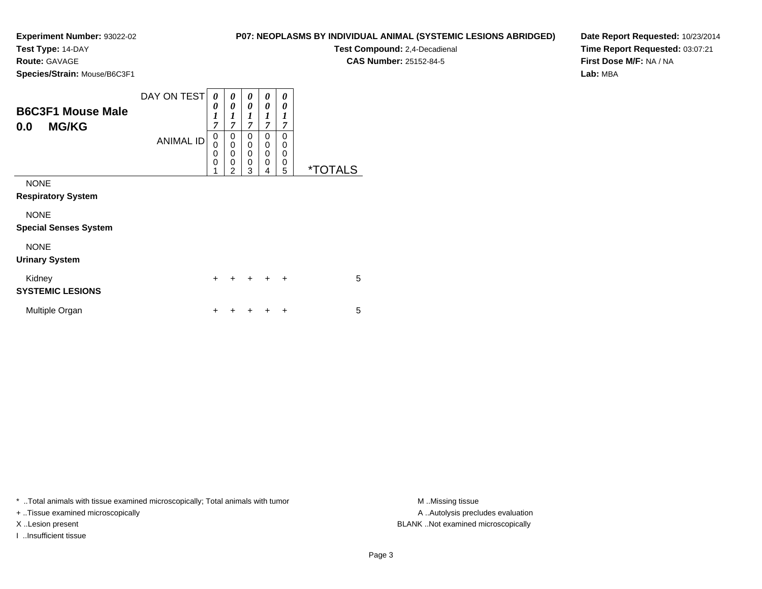**Test Type:** 14-DAY

**Route:** GAVAGE

**Species/Strain:** Mouse/B6C3F1

| P07: NEOPLASMS BY INDIVIDUAL ANIMAL (SYSTEMIC LESIONS ABRIDGED) |  |
|-----------------------------------------------------------------|--|
|-----------------------------------------------------------------|--|

**Test Compound:** 2,4-Decadienal **CAS Number:** 25152-84-5

**Date Report Requested:** 10/23/2014**Time Report Requested:** 03:07:21**First Dose M/F:** NA / NA**Lab:** MBA

| <b>B6C3F1 Mouse Male</b><br><b>MG/KG</b><br>0.0 | DAY ON TESTI<br><b>ANIMAL ID</b> | 0<br>$\boldsymbol{\theta}$<br>$\boldsymbol{l}$<br>$\overline{7}$<br>0<br>$\overline{0}$<br>0<br>0 | 0<br>0<br>1<br>7<br>0<br>0<br>$\mathbf 0$<br>$\mathbf 0$ | 0<br>0<br>1<br>7<br>0<br>$\mathbf 0$<br>$\mathbf 0$<br>$\mathbf 0$ | 0<br>0<br>1<br>7<br>0<br>0<br>0<br>0 | 0<br>0<br>1<br>7<br>0<br>0<br>0<br>0 |                       |
|-------------------------------------------------|----------------------------------|---------------------------------------------------------------------------------------------------|----------------------------------------------------------|--------------------------------------------------------------------|--------------------------------------|--------------------------------------|-----------------------|
| <b>NONE</b><br><b>Respiratory System</b>        |                                  | 1                                                                                                 | $\overline{2}$                                           | 3                                                                  | 4                                    | 5                                    | <i><b>*TOTALS</b></i> |
| <b>NONE</b><br><b>Special Senses System</b>     |                                  |                                                                                                   |                                                          |                                                                    |                                      |                                      |                       |
| <b>NONE</b><br><b>Urinary System</b>            |                                  |                                                                                                   |                                                          |                                                                    |                                      |                                      |                       |
| Kidney<br><b>SYSTEMIC LESIONS</b>               |                                  | $\ddot{}$                                                                                         |                                                          |                                                                    |                                      | $\ddot{}$                            | 5                     |
| Multiple Organ                                  |                                  | +                                                                                                 |                                                          |                                                                    |                                      | ٠                                    | 5                     |

\* ..Total animals with tissue examined microscopically; Total animals with tumor **M** . Missing tissue M ..Missing tissue

+ ..Tissue examined microscopically

I ..Insufficient tissue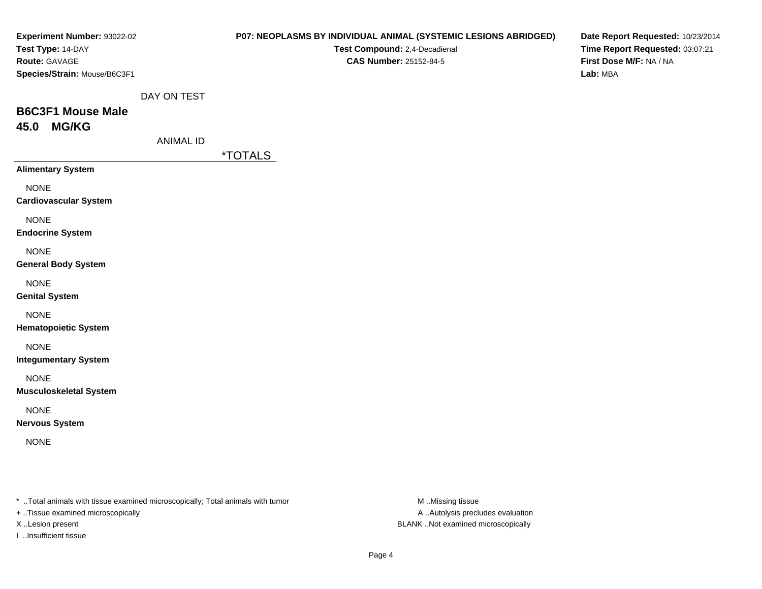| Experiment Number: 93022-02                                                    |                  |                       | P07: NEOPLASMS BY INDIVIDUAL ANIMAL (SYSTEMIC LESIONS ABRIDGED) | Date Report Requested: 10/23/2014 |
|--------------------------------------------------------------------------------|------------------|-----------------------|-----------------------------------------------------------------|-----------------------------------|
| Test Type: 14-DAY                                                              |                  |                       | Test Compound: 2,4-Decadienal                                   | Time Report Requested: 03:07:21   |
| Route: GAVAGE                                                                  |                  |                       | CAS Number: 25152-84-5                                          | First Dose M/F: NA / NA           |
| Species/Strain: Mouse/B6C3F1                                                   |                  |                       |                                                                 | Lab: MBA                          |
|                                                                                |                  |                       |                                                                 |                                   |
|                                                                                | DAY ON TEST      |                       |                                                                 |                                   |
| <b>B6C3F1 Mouse Male</b>                                                       |                  |                       |                                                                 |                                   |
| 45.0 MG/KG                                                                     |                  |                       |                                                                 |                                   |
|                                                                                | <b>ANIMAL ID</b> |                       |                                                                 |                                   |
|                                                                                |                  | <i><b>*TOTALS</b></i> |                                                                 |                                   |
| <b>Alimentary System</b>                                                       |                  |                       |                                                                 |                                   |
| <b>NONE</b>                                                                    |                  |                       |                                                                 |                                   |
| <b>Cardiovascular System</b>                                                   |                  |                       |                                                                 |                                   |
| <b>NONE</b>                                                                    |                  |                       |                                                                 |                                   |
| <b>Endocrine System</b>                                                        |                  |                       |                                                                 |                                   |
|                                                                                |                  |                       |                                                                 |                                   |
| <b>NONE</b>                                                                    |                  |                       |                                                                 |                                   |
| <b>General Body System</b>                                                     |                  |                       |                                                                 |                                   |
| <b>NONE</b>                                                                    |                  |                       |                                                                 |                                   |
| <b>Genital System</b>                                                          |                  |                       |                                                                 |                                   |
| <b>NONE</b>                                                                    |                  |                       |                                                                 |                                   |
| <b>Hematopoietic System</b>                                                    |                  |                       |                                                                 |                                   |
| <b>NONE</b>                                                                    |                  |                       |                                                                 |                                   |
| <b>Integumentary System</b>                                                    |                  |                       |                                                                 |                                   |
|                                                                                |                  |                       |                                                                 |                                   |
| <b>NONE</b>                                                                    |                  |                       |                                                                 |                                   |
| <b>Musculoskeletal System</b>                                                  |                  |                       |                                                                 |                                   |
| <b>NONE</b>                                                                    |                  |                       |                                                                 |                                   |
| <b>Nervous System</b>                                                          |                  |                       |                                                                 |                                   |
| <b>NONE</b>                                                                    |                  |                       |                                                                 |                                   |
|                                                                                |                  |                       |                                                                 |                                   |
|                                                                                |                  |                       |                                                                 |                                   |
|                                                                                |                  |                       |                                                                 |                                   |
| * Total animals with tissue examined microscopically; Total animals with tumor |                  |                       | M Missing tissue                                                |                                   |
| <b>Tionus overvined missoscopically</b>                                        |                  |                       | A Autobiologicaludes ovoluntion                                 |                                   |

+ ..Tissue examined microscopically

I ..Insufficient tissue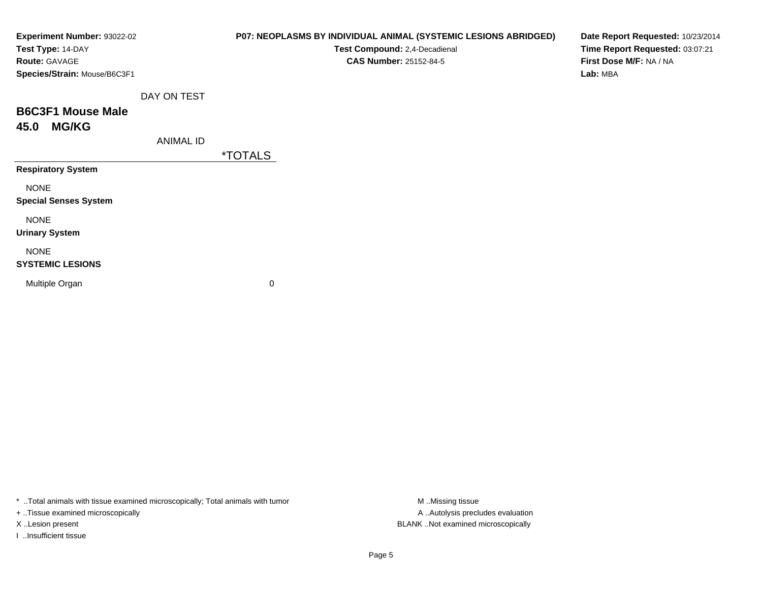| Experiment Number: 93022-02<br>Test Type: 14-DAY |                  | P07: NEOPLASMS BY INDIVIDUAL ANIMAL (SYSTEMIC LESIONS ABRIDGED)<br>Test Compound: 2,4-Decadienal | Date Report Requested: 10/23/2014<br>Time Report Requested: 03:07:21 |
|--------------------------------------------------|------------------|--------------------------------------------------------------------------------------------------|----------------------------------------------------------------------|
| <b>Route: GAVAGE</b>                             |                  | <b>CAS Number: 25152-84-5</b>                                                                    | First Dose M/F: NA / NA                                              |
| Species/Strain: Mouse/B6C3F1                     |                  |                                                                                                  | Lab: MBA                                                             |
|                                                  | DAY ON TEST      |                                                                                                  |                                                                      |
| <b>B6C3F1 Mouse Male</b>                         |                  |                                                                                                  |                                                                      |
| <b>MG/KG</b><br>45.0                             |                  |                                                                                                  |                                                                      |
|                                                  | <b>ANIMAL ID</b> |                                                                                                  |                                                                      |
|                                                  |                  | <i><b>*TOTALS</b></i>                                                                            |                                                                      |
| <b>Respiratory System</b>                        |                  |                                                                                                  |                                                                      |
| <b>NONE</b>                                      |                  |                                                                                                  |                                                                      |
| <b>Special Senses System</b>                     |                  |                                                                                                  |                                                                      |
| <b>NONE</b>                                      |                  |                                                                                                  |                                                                      |
| <b>Urinary System</b>                            |                  |                                                                                                  |                                                                      |
| <b>NONE</b>                                      |                  |                                                                                                  |                                                                      |
| <b>SYSTEMIC LESIONS</b>                          |                  |                                                                                                  |                                                                      |
| Multiple Organ                                   |                  | 0                                                                                                |                                                                      |
|                                                  |                  |                                                                                                  |                                                                      |
|                                                  |                  |                                                                                                  |                                                                      |

\* ..Total animals with tissue examined microscopically; Total animals with tumor M..Missing tissue M ..Missing tissue

+ ..Tissue examined microscopically

I ..Insufficient tissue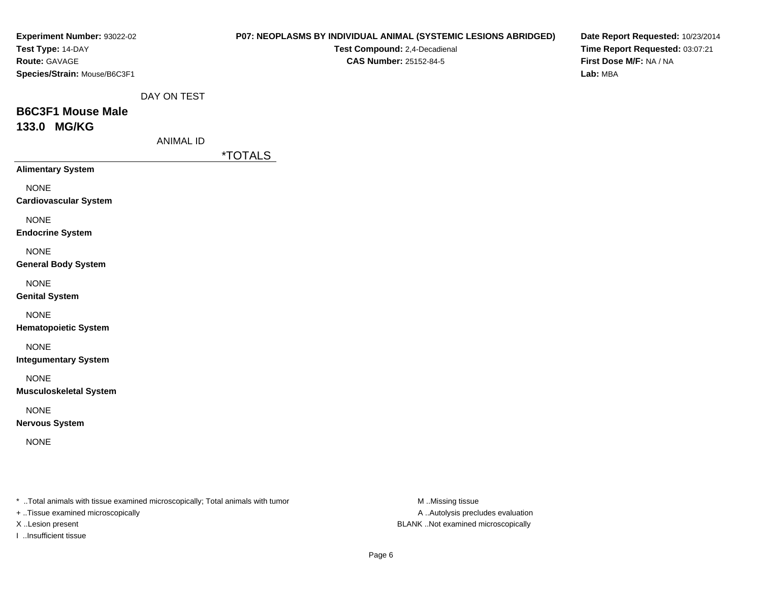| Experiment Number: 93022-02                                                    |                  |                       | P07: NEOPLASMS BY INDIVIDUAL ANIMAL (SYSTEMIC LESIONS ABRIDGED) | Date Report Requested: 10/23/2014 |
|--------------------------------------------------------------------------------|------------------|-----------------------|-----------------------------------------------------------------|-----------------------------------|
| Test Type: 14-DAY                                                              |                  |                       | Test Compound: 2,4-Decadienal                                   | Time Report Requested: 03:07:21   |
| Route: GAVAGE                                                                  |                  |                       | <b>CAS Number: 25152-84-5</b>                                   | First Dose M/F: NA / NA           |
| Species/Strain: Mouse/B6C3F1                                                   |                  |                       |                                                                 | Lab: MBA                          |
|                                                                                |                  |                       |                                                                 |                                   |
|                                                                                | DAY ON TEST      |                       |                                                                 |                                   |
| <b>B6C3F1 Mouse Male</b>                                                       |                  |                       |                                                                 |                                   |
| 133.0 MG/KG                                                                    |                  |                       |                                                                 |                                   |
|                                                                                | <b>ANIMAL ID</b> |                       |                                                                 |                                   |
|                                                                                |                  | <i><b>*TOTALS</b></i> |                                                                 |                                   |
| <b>Alimentary System</b>                                                       |                  |                       |                                                                 |                                   |
| <b>NONE</b>                                                                    |                  |                       |                                                                 |                                   |
| <b>Cardiovascular System</b>                                                   |                  |                       |                                                                 |                                   |
| <b>NONE</b>                                                                    |                  |                       |                                                                 |                                   |
| <b>Endocrine System</b>                                                        |                  |                       |                                                                 |                                   |
|                                                                                |                  |                       |                                                                 |                                   |
| <b>NONE</b>                                                                    |                  |                       |                                                                 |                                   |
| <b>General Body System</b>                                                     |                  |                       |                                                                 |                                   |
| <b>NONE</b>                                                                    |                  |                       |                                                                 |                                   |
| <b>Genital System</b>                                                          |                  |                       |                                                                 |                                   |
| <b>NONE</b>                                                                    |                  |                       |                                                                 |                                   |
| <b>Hematopoietic System</b>                                                    |                  |                       |                                                                 |                                   |
|                                                                                |                  |                       |                                                                 |                                   |
| <b>NONE</b><br><b>Integumentary System</b>                                     |                  |                       |                                                                 |                                   |
|                                                                                |                  |                       |                                                                 |                                   |
| <b>NONE</b>                                                                    |                  |                       |                                                                 |                                   |
| <b>Musculoskeletal System</b>                                                  |                  |                       |                                                                 |                                   |
| <b>NONE</b>                                                                    |                  |                       |                                                                 |                                   |
| <b>Nervous System</b>                                                          |                  |                       |                                                                 |                                   |
| <b>NONE</b>                                                                    |                  |                       |                                                                 |                                   |
|                                                                                |                  |                       |                                                                 |                                   |
|                                                                                |                  |                       |                                                                 |                                   |
|                                                                                |                  |                       |                                                                 |                                   |
| * Total animals with tissue examined microscopically; Total animals with tumor |                  |                       | M Missing tissue                                                |                                   |
| + Tissue examined microscopically                                              |                  |                       | A  Autolysis precludes evaluation                               |                                   |

I ..Insufficient tissue

X ..Lesion present BLANK ..Not examined microscopically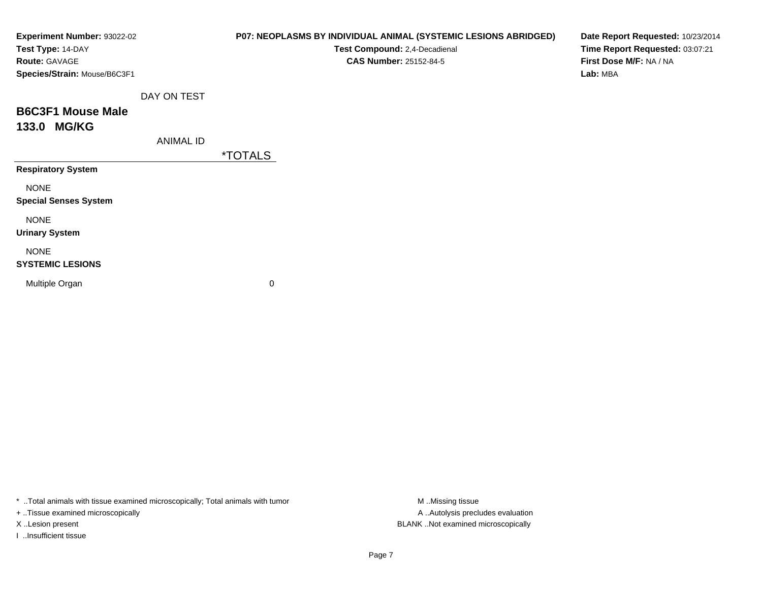| Experiment Number: 93022-02<br>Test Type: 14-DAY |                  |                       | P07: NEOPLASMS BY INDIVIDUAL ANIMAL (SYSTEMIC LESIONS ABRIDGED)<br>Test Compound: 2,4-Decadienal | Date Report Requested: 10/23/2014<br>Time Report Requested: 03:07:21 |
|--------------------------------------------------|------------------|-----------------------|--------------------------------------------------------------------------------------------------|----------------------------------------------------------------------|
| Route: GAVAGE<br>Species/Strain: Mouse/B6C3F1    |                  |                       | <b>CAS Number: 25152-84-5</b>                                                                    | First Dose M/F: NA / NA<br>Lab: MBA                                  |
|                                                  | DAY ON TEST      |                       |                                                                                                  |                                                                      |
| <b>B6C3F1 Mouse Male</b>                         |                  |                       |                                                                                                  |                                                                      |
| 133.0 MG/KG                                      |                  |                       |                                                                                                  |                                                                      |
|                                                  | <b>ANIMAL ID</b> |                       |                                                                                                  |                                                                      |
|                                                  |                  | <i><b>*TOTALS</b></i> |                                                                                                  |                                                                      |
| <b>Respiratory System</b>                        |                  |                       |                                                                                                  |                                                                      |
| <b>NONE</b>                                      |                  |                       |                                                                                                  |                                                                      |
| <b>Special Senses System</b>                     |                  |                       |                                                                                                  |                                                                      |
| <b>NONE</b>                                      |                  |                       |                                                                                                  |                                                                      |
| <b>Urinary System</b>                            |                  |                       |                                                                                                  |                                                                      |
| <b>NONE</b>                                      |                  |                       |                                                                                                  |                                                                      |
| <b>SYSTEMIC LESIONS</b>                          |                  |                       |                                                                                                  |                                                                      |
| Multiple Organ                                   |                  | 0                     |                                                                                                  |                                                                      |
|                                                  |                  |                       |                                                                                                  |                                                                      |
|                                                  |                  |                       |                                                                                                  |                                                                      |

\* ..Total animals with tissue examined microscopically; Total animals with tumor M..Missing tissue M

+ ..Tissue examined microscopically

I ..Insufficient tissue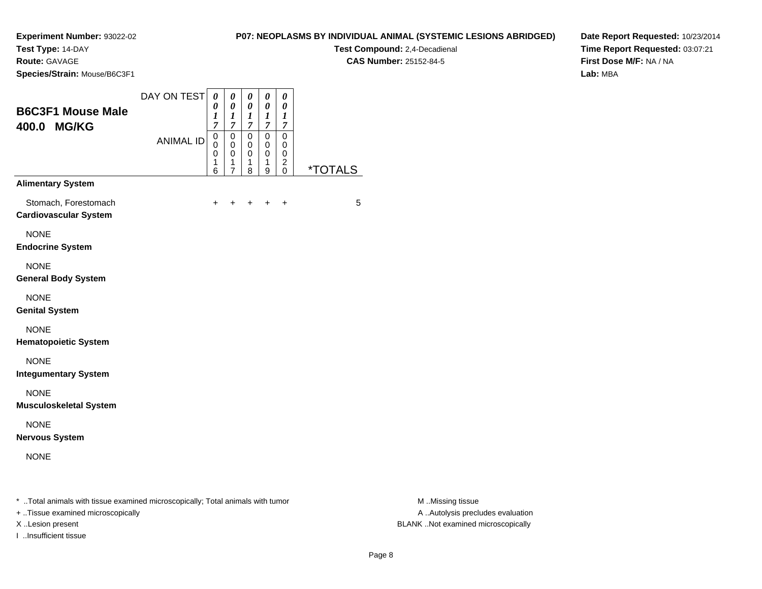**Test Type:** 14-DAY

**Route:** GAVAGE

**Species/Strain:** Mouse/B6C3F1

## **P07: NEOPLASMS BY INDIVIDUAL ANIMAL (SYSTEMIC LESIONS ABRIDGED)**

**Test Compound:** 2,4-Decadienal **CAS Number:** 25152-84-5

**Date Report Requested:** 10/23/2014**Time Report Requested:** 03:07:21**First Dose M/F:** NA / NA**Lab:** MBA

| <b>B6C3F1 Mouse Male</b><br>400.0 MG/KG              | DAY ON TEST<br><b>ANIMAL ID</b> | 0<br>0<br>$\boldsymbol{l}$<br>$\overline{7}$<br>$\mathsf 0$<br>0<br>0 | 0<br>0<br>$\boldsymbol{l}$<br>7<br>$\pmb{0}$<br>$\pmb{0}$<br>$\mathbf 0$ | 0<br>0<br>1<br>$\overline{7}$<br>0<br>0<br>0 | 0<br>0<br>$\boldsymbol{l}$<br>$\overline{7}$<br>0<br>$\mathbf 0$<br>$\mathbf 0$ | 0<br>0<br>$\boldsymbol{l}$<br>$\overline{7}$<br>0<br>0<br>0 |                       |
|------------------------------------------------------|---------------------------------|-----------------------------------------------------------------------|--------------------------------------------------------------------------|----------------------------------------------|---------------------------------------------------------------------------------|-------------------------------------------------------------|-----------------------|
|                                                      |                                 | 1<br>6                                                                | 1<br>$\overline{7}$                                                      | 1<br>8                                       | 1<br>9                                                                          | $\overline{c}$<br>$\Omega$                                  | <i><b>*TOTALS</b></i> |
| <b>Alimentary System</b>                             |                                 |                                                                       |                                                                          |                                              |                                                                                 |                                                             |                       |
| Stomach, Forestomach<br><b>Cardiovascular System</b> |                                 | $\ddot{}$                                                             | +                                                                        | $\ddot{}$                                    | $\ddot{}$                                                                       | $\ddot{}$                                                   | 5                     |
| <b>NONE</b><br><b>Endocrine System</b>               |                                 |                                                                       |                                                                          |                                              |                                                                                 |                                                             |                       |
| <b>NONE</b><br><b>General Body System</b>            |                                 |                                                                       |                                                                          |                                              |                                                                                 |                                                             |                       |
| <b>NONE</b><br><b>Genital System</b>                 |                                 |                                                                       |                                                                          |                                              |                                                                                 |                                                             |                       |
| <b>NONE</b><br><b>Hematopoietic System</b>           |                                 |                                                                       |                                                                          |                                              |                                                                                 |                                                             |                       |
| <b>NONE</b><br><b>Integumentary System</b>           |                                 |                                                                       |                                                                          |                                              |                                                                                 |                                                             |                       |
| <b>NONE</b><br><b>Musculoskeletal System</b>         |                                 |                                                                       |                                                                          |                                              |                                                                                 |                                                             |                       |
| <b>NONE</b><br><b>Nervous System</b>                 |                                 |                                                                       |                                                                          |                                              |                                                                                 |                                                             |                       |
| <b>NONE</b>                                          |                                 |                                                                       |                                                                          |                                              |                                                                                 |                                                             |                       |

\* ..Total animals with tissue examined microscopically; Total animals with tumor **M** . Missing tissue M ..Missing tissue

+ ..Tissue examined microscopically

I ..Insufficient tissue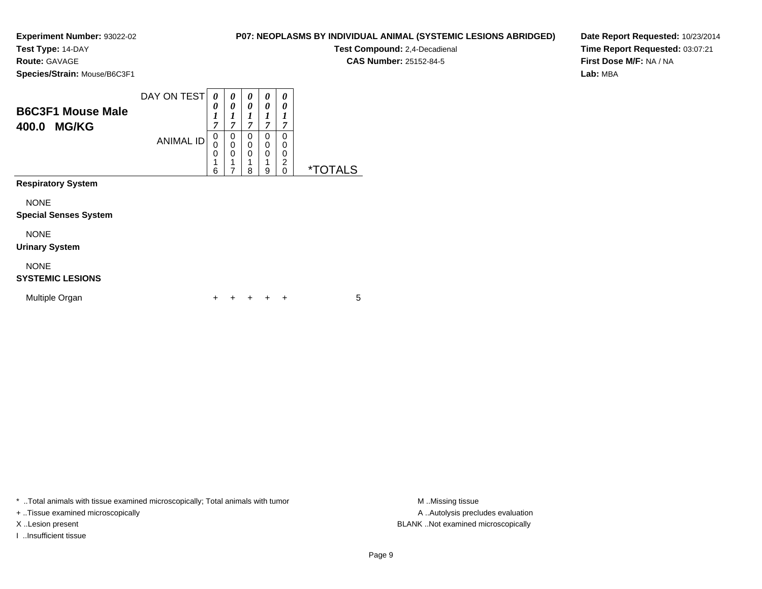**Test Type:** 14-DAY

**Route:** GAVAGE

**Species/Strain:** Mouse/B6C3F1

|                                                   | DAY ON TEST      | $\boldsymbol{\theta}$<br>0 | 0<br>0      | 0<br>0            | 0<br>0                          | 0<br>0      |          |
|---------------------------------------------------|------------------|----------------------------|-------------|-------------------|---------------------------------|-------------|----------|
| <b>B6C3F1 Mouse Male</b><br><b>MG/KG</b><br>400.0 |                  | 1<br>7                     | 7           | $\mathbf{r}$<br>7 | 1<br>7                          | 7           |          |
|                                                   | <b>ANIMAL ID</b> | 0<br>0                     | 0<br>0<br>0 | 0<br>0<br>0       | 0<br>$\mathbf 0$<br>$\mathbf 0$ | 0<br>0<br>0 |          |
|                                                   |                  | 1<br>6                     |             | 4<br>8            | 4<br>9                          | ົ<br>۷<br>0 | *TOTAL S |
| <b>Respiratory System</b>                         |                  |                            |             |                   |                                 |             |          |

NONE

### **Special Senses System**

NONE

#### **Urinary System**

NONE

### **SYSTEMIC LESIONS**

| Multiple Organ |  |  | + + + + + |  |  |  |  |
|----------------|--|--|-----------|--|--|--|--|
|----------------|--|--|-----------|--|--|--|--|

\* ..Total animals with tissue examined microscopically; Total animals with tumor

+ ..Tissue examined microscopically

I ..Insufficient tissue

**P07: NEOPLASMS BY INDIVIDUAL ANIMAL (SYSTEMIC LESIONS ABRIDGED)**

**Test Compound:** 2,4-Decadienal **CAS Number:** 25152-84-5

**Date Report Requested:** 10/23/2014**Time Report Requested:** 03:07:21**First Dose M/F:** NA / NA**Lab:** MBA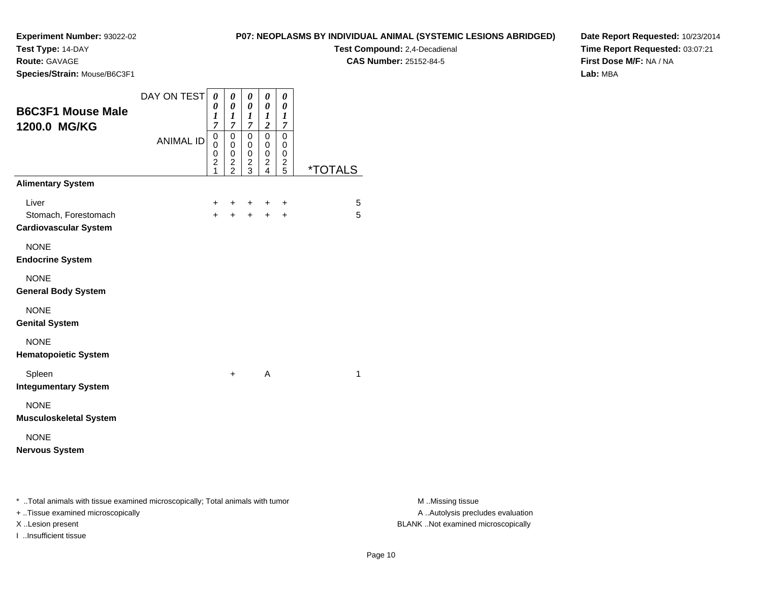**Test Type:** 14-DAY

**Route:** GAVAGE

**Species/Strain:** Mouse/B6C3F1

**Test Compound:** 2,4-Decadienal **CAS Number:** 25152-84-5

**Date Report Requested:** 10/23/2014**Time Report Requested:** 03:07:21**First Dose M/F:** NA / NA**Lab:** MBA

| <b>B6C3F1 Mouse Male</b><br>1200.0 MG/KG<br><b>Alimentary System</b> | DAY ON TEST<br><b>ANIMAL ID</b> | 0<br>0<br>$\boldsymbol{l}$<br>$\overline{7}$<br>0<br>0<br>0<br>$\overline{c}$<br>1 | 0<br>$\boldsymbol{\theta}$<br>1<br>$\boldsymbol{7}$<br>$\overline{0}$<br>0<br>0<br>$\overline{\mathbf{c}}$<br>$\overline{2}$ | $\boldsymbol{\theta}$<br>$\boldsymbol{\theta}$<br>$\boldsymbol{l}$<br>$\boldsymbol{7}$<br>$\mathbf 0$<br>0<br>$\mathsf 0$<br>$\frac{2}{3}$ | 0<br>$\boldsymbol{\theta}$<br>$\boldsymbol{l}$<br>$\overline{c}$<br>$\mathbf 0$<br>0<br>0<br>$\overline{\mathbf{c}}$<br>$\overline{4}$ | 0<br>0<br>1<br>$\overline{7}$<br>$\mathbf 0$<br>0<br>0<br>$\frac{2}{5}$ | <i><b>*TOTALS</b></i> |
|----------------------------------------------------------------------|---------------------------------|------------------------------------------------------------------------------------|------------------------------------------------------------------------------------------------------------------------------|--------------------------------------------------------------------------------------------------------------------------------------------|----------------------------------------------------------------------------------------------------------------------------------------|-------------------------------------------------------------------------|-----------------------|
|                                                                      |                                 |                                                                                    |                                                                                                                              |                                                                                                                                            |                                                                                                                                        |                                                                         |                       |
| Liver<br>Stomach, Forestomach                                        |                                 | $\ddot{}$<br>$+$                                                                   | ٠<br>$\ddot{}$                                                                                                               | $\ddot{}$<br>$+$                                                                                                                           | ÷<br>$+$                                                                                                                               | +<br>$\ddot{}$                                                          | 5<br>5                |
| <b>Cardiovascular System</b>                                         |                                 |                                                                                    |                                                                                                                              |                                                                                                                                            |                                                                                                                                        |                                                                         |                       |
| <b>NONE</b>                                                          |                                 |                                                                                    |                                                                                                                              |                                                                                                                                            |                                                                                                                                        |                                                                         |                       |
| <b>Endocrine System</b>                                              |                                 |                                                                                    |                                                                                                                              |                                                                                                                                            |                                                                                                                                        |                                                                         |                       |
| <b>NONE</b>                                                          |                                 |                                                                                    |                                                                                                                              |                                                                                                                                            |                                                                                                                                        |                                                                         |                       |
| <b>General Body System</b>                                           |                                 |                                                                                    |                                                                                                                              |                                                                                                                                            |                                                                                                                                        |                                                                         |                       |
| <b>NONE</b>                                                          |                                 |                                                                                    |                                                                                                                              |                                                                                                                                            |                                                                                                                                        |                                                                         |                       |
| <b>Genital System</b>                                                |                                 |                                                                                    |                                                                                                                              |                                                                                                                                            |                                                                                                                                        |                                                                         |                       |
| <b>NONE</b>                                                          |                                 |                                                                                    |                                                                                                                              |                                                                                                                                            |                                                                                                                                        |                                                                         |                       |
| <b>Hematopoietic System</b>                                          |                                 |                                                                                    |                                                                                                                              |                                                                                                                                            |                                                                                                                                        |                                                                         |                       |
| Spleen                                                               |                                 |                                                                                    | $\ddot{}$                                                                                                                    |                                                                                                                                            | A                                                                                                                                      |                                                                         | $\mathbf{1}$          |
| <b>Integumentary System</b>                                          |                                 |                                                                                    |                                                                                                                              |                                                                                                                                            |                                                                                                                                        |                                                                         |                       |
| <b>NONE</b>                                                          |                                 |                                                                                    |                                                                                                                              |                                                                                                                                            |                                                                                                                                        |                                                                         |                       |
| <b>Musculoskeletal System</b>                                        |                                 |                                                                                    |                                                                                                                              |                                                                                                                                            |                                                                                                                                        |                                                                         |                       |
| <b>NONE</b>                                                          |                                 |                                                                                    |                                                                                                                              |                                                                                                                                            |                                                                                                                                        |                                                                         |                       |
| <b>Nervous System</b>                                                |                                 |                                                                                    |                                                                                                                              |                                                                                                                                            |                                                                                                                                        |                                                                         |                       |
|                                                                      |                                 |                                                                                    |                                                                                                                              |                                                                                                                                            |                                                                                                                                        |                                                                         |                       |
|                                                                      |                                 |                                                                                    |                                                                                                                              |                                                                                                                                            |                                                                                                                                        |                                                                         |                       |

\* ..Total animals with tissue examined microscopically; Total animals with tumor **M** . Missing tissue M ..Missing tissue

+ ..Tissue examined microscopically

I ..Insufficient tissue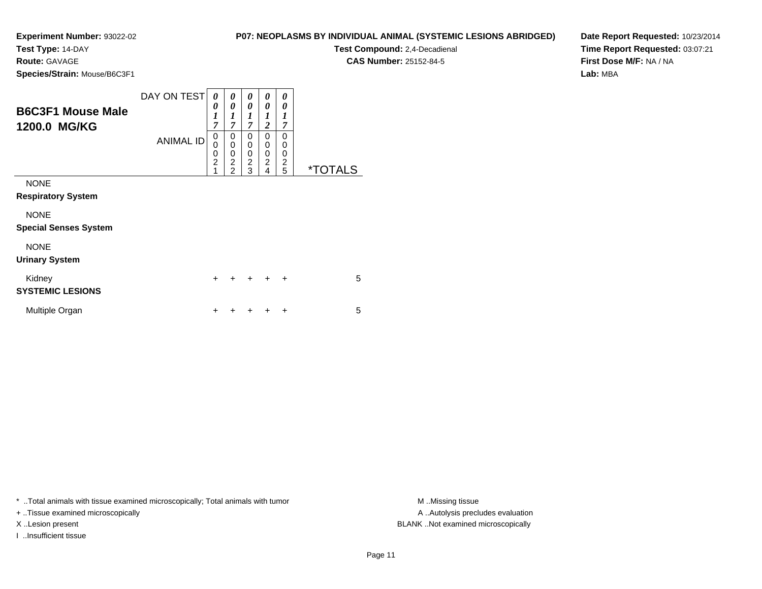**Test Type:** 14-DAY

**Route:** GAVAGE

**Species/Strain:** Mouse/B6C3F1

**Test Compound:** 2,4-Decadienal **CAS Number:** 25152-84-5

**Date Report Requested:** 10/23/2014**Time Report Requested:** 03:07:21**First Dose M/F:** NA / NA**Lab:** MBA

| <b>B6C3F1 Mouse Male</b><br>1200.0 MG/KG    | DAY ON TESTI<br><b>ANIMAL ID</b> | 0<br>0<br>$\boldsymbol{l}$<br>$\overline{7}$<br>0<br>$\mathbf 0$<br>$\mathbf 0$<br>$\overline{2}$<br>1 | 0<br>0<br>1<br>$\overline{7}$<br>0<br>0<br>0<br>$\overline{2}$<br>$\overline{2}$ | 0<br>0<br>$\boldsymbol{l}$<br>$\overline{\tau}$<br>$\Omega$<br>$\mathbf 0$<br>0<br>$\overline{2}$<br>3 | 0<br>0<br>1<br>$\overline{c}$<br>0<br>0<br>0<br>$\overline{2}$<br>4 | 0<br>0<br>1<br>$\overline{7}$<br>0<br>0<br>0<br>$\boldsymbol{2}$<br>5 | <i><b>*TOTALS</b></i> |
|---------------------------------------------|----------------------------------|--------------------------------------------------------------------------------------------------------|----------------------------------------------------------------------------------|--------------------------------------------------------------------------------------------------------|---------------------------------------------------------------------|-----------------------------------------------------------------------|-----------------------|
| <b>NONE</b><br><b>Respiratory System</b>    |                                  |                                                                                                        |                                                                                  |                                                                                                        |                                                                     |                                                                       |                       |
| <b>NONE</b><br><b>Special Senses System</b> |                                  |                                                                                                        |                                                                                  |                                                                                                        |                                                                     |                                                                       |                       |
| <b>NONE</b><br><b>Urinary System</b>        |                                  |                                                                                                        |                                                                                  |                                                                                                        |                                                                     |                                                                       |                       |
| Kidney<br><b>SYSTEMIC LESIONS</b>           |                                  | $\div$                                                                                                 |                                                                                  |                                                                                                        |                                                                     | $\ddot{}$                                                             | 5                     |
| Multiple Organ                              |                                  | +                                                                                                      |                                                                                  |                                                                                                        |                                                                     | ÷                                                                     | 5                     |

\* ..Total animals with tissue examined microscopically; Total animals with tumor **M** . Missing tissue M ..Missing tissue

+ ..Tissue examined microscopically

I ..Insufficient tissue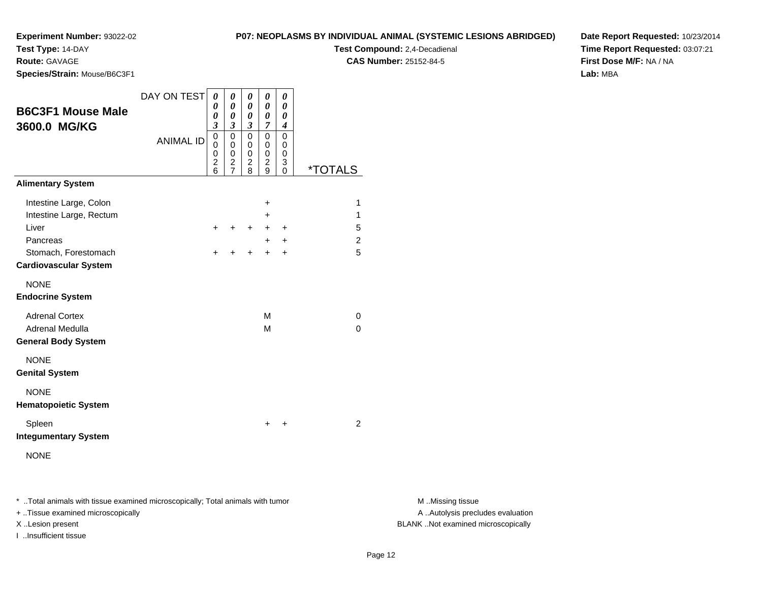**Test Type:** 14-DAY

**Route:** GAVAGE

**Species/Strain:** Mouse/B6C3F1

**Test Compound:** 2,4-Decadienal **CAS Number:** 25152-84-5

**Date Report Requested:** 10/23/2014**Time Report Requested:** 03:07:21**First Dose M/F:** NA / NA**Lab:** MBA

| <b>B6C3F1 Mouse Male</b><br>3600.0 MG/KG<br><b>Alimentary System</b>                                                           | DAY ON TEST<br><b>ANIMAL ID</b> | 0<br>0<br>0<br>3<br>0<br>0<br>0<br>$\overline{c}$<br>6 | 0<br>0<br>0<br>3<br>$\mathbf 0$<br>0<br>0<br>2<br>$\overline{7}$ | 0<br>0<br>0<br>$\mathfrak{z}$<br>$\mathbf 0$<br>0<br>0<br>$\overline{c}$<br>8 | 0<br>0<br>0<br>$\overline{7}$<br>0<br>0<br>0<br>$\overline{2}$<br>9 | 0<br>0<br>0<br>4<br>$\mathbf 0$<br>0<br>0<br>3<br>0 | <i><b>*TOTALS</b></i> |
|--------------------------------------------------------------------------------------------------------------------------------|---------------------------------|--------------------------------------------------------|------------------------------------------------------------------|-------------------------------------------------------------------------------|---------------------------------------------------------------------|-----------------------------------------------------|-----------------------|
| Intestine Large, Colon<br>Intestine Large, Rectum<br>Liver<br>Pancreas<br>Stomach, Forestomach<br><b>Cardiovascular System</b> |                                 | $+$<br>+                                               | $\ddot{}$<br>+                                                   | $+$<br>$\ddot{}$                                                              | $\ddot{}$<br>+<br>$\pm$<br>$+$<br>$\ddot{}$                         | $\ddot{}$<br>$\ddot{}$<br>+                         | 1<br>1<br>5<br>2<br>5 |
| <b>NONE</b><br><b>Endocrine System</b><br><b>Adrenal Cortex</b><br>Adrenal Medulla<br><b>General Body System</b>               |                                 |                                                        |                                                                  |                                                                               | M<br>M                                                              |                                                     | 0<br>$\Omega$         |
| <b>NONE</b><br><b>Genital System</b><br><b>NONE</b><br><b>Hematopoietic System</b><br>Spleen<br><b>Integumentary System</b>    |                                 |                                                        |                                                                  |                                                                               | +                                                                   | $\ddot{}$                                           | $\overline{2}$        |
| <b>NONE</b>                                                                                                                    |                                 |                                                        |                                                                  |                                                                               |                                                                     |                                                     |                       |

\* ..Total animals with tissue examined microscopically; Total animals with tumor **M** . Missing tissue M ..Missing tissue

+ ..Tissue examined microscopically

I ..Insufficient tissue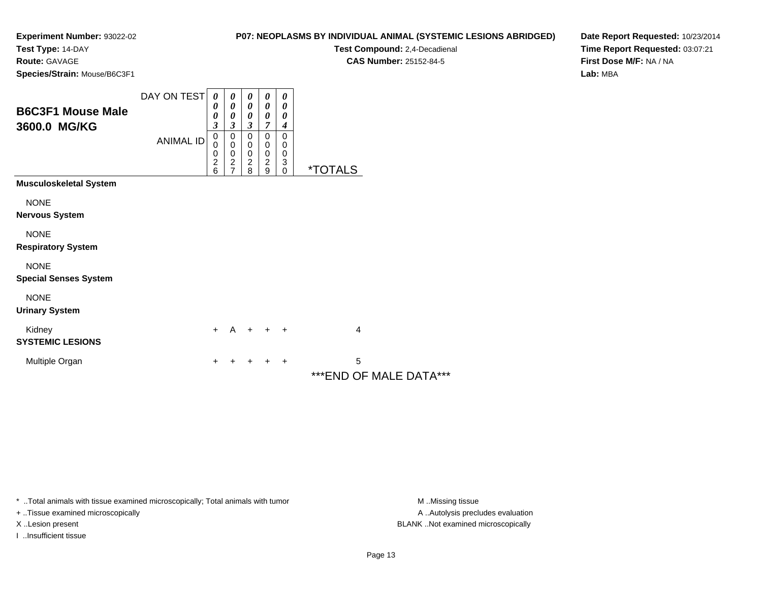**Test Type:** 14-DAY

**Route:** GAVAGE

**Species/Strain:** Mouse/B6C3F1

## **P07: NEOPLASMS BY INDIVIDUAL ANIMAL (SYSTEMIC LESIONS ABRIDGED)**

**Test Compound:** 2,4-Decadienal **CAS Number:** 25152-84-5

**Date Report Requested:** 10/23/2014**Time Report Requested:** 03:07:21**First Dose M/F:** NA / NA**Lab:** MBA

| <b>B6C3F1 Mouse Male</b><br>3600.0 MG/KG    | DAY ON TEST<br><b>ANIMAL ID</b> | 0<br>0<br>0<br>$\overline{\mathbf{3}}$<br>$\mathbf 0$<br>0<br>0<br>$\frac{2}{6}$ | $\boldsymbol{\theta}$<br>$\boldsymbol{\theta}$<br>0<br>3<br>$\pmb{0}$<br>$\mathbf 0$<br>$\pmb{0}$<br>$\boldsymbol{2}$<br>$\overline{7}$ | 0<br>$\boldsymbol{\theta}$<br>$\boldsymbol{\theta}$<br>$\boldsymbol{\beta}$<br>$\mathbf 0$<br>$\,0\,$<br>$\,0\,$<br>$\frac{2}{8}$ | 0<br>$\boldsymbol{\theta}$<br>0<br>7<br>$\mathbf 0$<br>0<br>$\pmb{0}$<br>$\frac{2}{9}$ | 0<br>$\boldsymbol{\theta}$<br>0<br>$\boldsymbol{4}$<br>$\mathbf 0$<br>0<br>0<br>3<br>$\mathbf 0$ | <i><b>*TOTALS</b></i>        |
|---------------------------------------------|---------------------------------|----------------------------------------------------------------------------------|-----------------------------------------------------------------------------------------------------------------------------------------|-----------------------------------------------------------------------------------------------------------------------------------|----------------------------------------------------------------------------------------|--------------------------------------------------------------------------------------------------|------------------------------|
| <b>Musculoskeletal System</b>               |                                 |                                                                                  |                                                                                                                                         |                                                                                                                                   |                                                                                        |                                                                                                  |                              |
| <b>NONE</b><br><b>Nervous System</b>        |                                 |                                                                                  |                                                                                                                                         |                                                                                                                                   |                                                                                        |                                                                                                  |                              |
| <b>NONE</b><br><b>Respiratory System</b>    |                                 |                                                                                  |                                                                                                                                         |                                                                                                                                   |                                                                                        |                                                                                                  |                              |
| <b>NONE</b><br><b>Special Senses System</b> |                                 |                                                                                  |                                                                                                                                         |                                                                                                                                   |                                                                                        |                                                                                                  |                              |
| <b>NONE</b><br><b>Urinary System</b>        |                                 |                                                                                  |                                                                                                                                         |                                                                                                                                   |                                                                                        |                                                                                                  |                              |
| Kidney<br><b>SYSTEMIC LESIONS</b>           |                                 | $+$                                                                              | $\overline{A}$                                                                                                                          |                                                                                                                                   | $+$ $+$ $+$                                                                            |                                                                                                  | 4                            |
| Multiple Organ                              |                                 | +                                                                                |                                                                                                                                         |                                                                                                                                   |                                                                                        | $\ddot{}$                                                                                        | 5<br>*** END OF MALE DATA*** |

\* ..Total animals with tissue examined microscopically; Total animals with tumor **M** . Missing tissue M ..Missing tissue

+ ..Tissue examined microscopically

I ..Insufficient tissue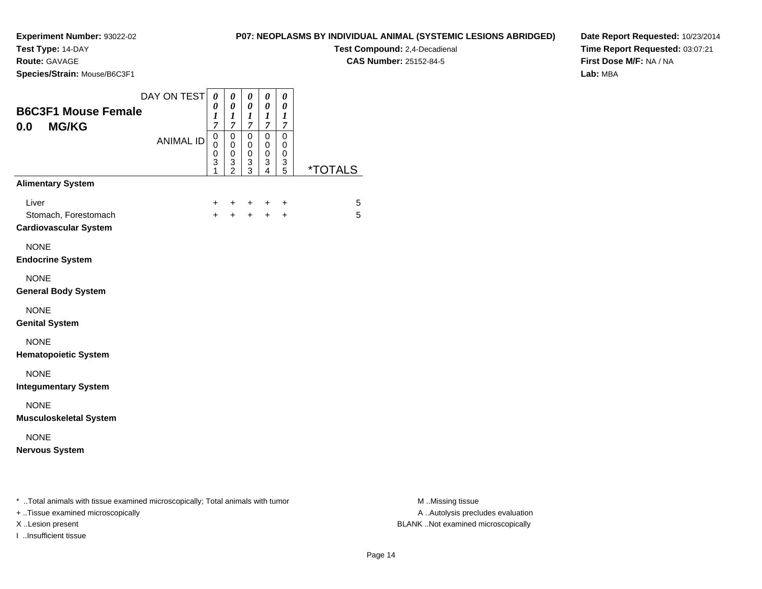**Test Type:** 14-DAY

**Route:** GAVAGE

I ..Insufficient tissue

**Species/Strain:** Mouse/B6C3F1

**Test Compound:** 2,4-Decadienal

**CAS Number:** 25152-84-5

**Date Report Requested:** 10/23/2014**Time Report Requested:** 03:07:21**First Dose M/F:** NA / NA**Lab:** MBA

| <b>B6C3F1 Mouse Female</b><br><b>MG/KG</b><br>0.0                                                                   | DAY ON TEST      | 0<br>0<br>1<br>7                           | 0<br>$\boldsymbol{\theta}$<br>$\boldsymbol{l}$<br>7 | 0<br>$\boldsymbol{\theta}$<br>$\boldsymbol{l}$<br>$\overline{7}$ | $\pmb{\theta}$<br>$\pmb{\theta}$<br>$\boldsymbol{l}$<br>$\boldsymbol{7}$ | 0<br>0<br>$\boldsymbol{l}$<br>$\overline{7}$            |                       |                                                       |
|---------------------------------------------------------------------------------------------------------------------|------------------|--------------------------------------------|-----------------------------------------------------|------------------------------------------------------------------|--------------------------------------------------------------------------|---------------------------------------------------------|-----------------------|-------------------------------------------------------|
|                                                                                                                     | <b>ANIMAL ID</b> | $\pmb{0}$<br>0<br>0<br>3<br>$\overline{1}$ | $\pmb{0}$<br>$\mathbf 0$<br>0<br>$\frac{3}{2}$      | $\mathbf 0$<br>0<br>$\mathbf 0$<br>3<br>$\overline{3}$           | $\overline{0}$<br>$\mathbf 0$<br>0<br>$\frac{3}{4}$                      | $\mathbf 0$<br>0<br>0<br>$\ensuremath{\mathsf{3}}$<br>5 | <i><b>*TOTALS</b></i> |                                                       |
| <b>Alimentary System</b>                                                                                            |                  |                                            |                                                     |                                                                  |                                                                          |                                                         |                       |                                                       |
| Liver<br>Stomach, Forestomach<br><b>Cardiovascular System</b>                                                       |                  | +<br>$+$                                   | +<br>$+$                                            | +<br>$+$                                                         | $\ddot{}$<br>$+$                                                         | +<br>$\ddot{}$                                          | 5<br>5                |                                                       |
| <b>NONE</b><br><b>Endocrine System</b>                                                                              |                  |                                            |                                                     |                                                                  |                                                                          |                                                         |                       |                                                       |
| <b>NONE</b><br><b>General Body System</b>                                                                           |                  |                                            |                                                     |                                                                  |                                                                          |                                                         |                       |                                                       |
| <b>NONE</b><br><b>Genital System</b>                                                                                |                  |                                            |                                                     |                                                                  |                                                                          |                                                         |                       |                                                       |
| <b>NONE</b><br><b>Hematopoietic System</b>                                                                          |                  |                                            |                                                     |                                                                  |                                                                          |                                                         |                       |                                                       |
| <b>NONE</b><br><b>Integumentary System</b>                                                                          |                  |                                            |                                                     |                                                                  |                                                                          |                                                         |                       |                                                       |
| <b>NONE</b><br><b>Musculoskeletal System</b>                                                                        |                  |                                            |                                                     |                                                                  |                                                                          |                                                         |                       |                                                       |
| <b>NONE</b><br><b>Nervous System</b>                                                                                |                  |                                            |                                                     |                                                                  |                                                                          |                                                         |                       |                                                       |
| * Total animals with tissue examined microscopically; Total animals with tumor<br>+ Tissue examined microscopically |                  |                                            |                                                     |                                                                  |                                                                          |                                                         |                       | M Missing tissue<br>A  Autolysis precludes evaluation |

M ..Missing tissue X ..Lesion present BLANK ..Not examined microscopically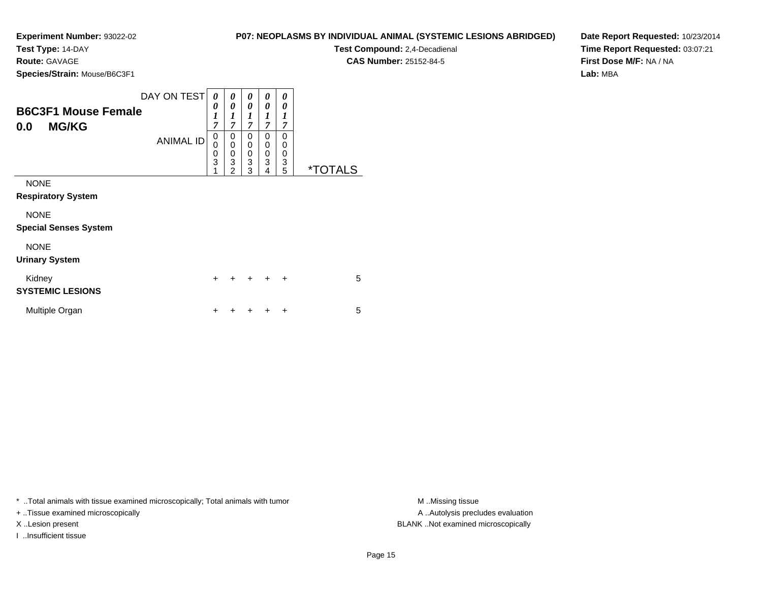**Test Type:** 14-DAY

**Route:** GAVAGE

**Species/Strain:** Mouse/B6C3F1

| P07: NEOPLASMS BY INDIVIDUAL ANIMAL (SYSTEMIC LESIONS ABRIDGED) |  |
|-----------------------------------------------------------------|--|
|-----------------------------------------------------------------|--|

**Test Compound:** 2,4-Decadienal **CAS Number:** 25152-84-5

**Date Report Requested:** 10/23/2014**Time Report Requested:** 03:07:21**First Dose M/F:** NA / NA**Lab:** MBA

| <b>B6C3F1 Mouse Female</b><br><b>MG/KG</b><br>0.0 | DAY ON TEST<br><b>ANIMAL ID</b> | 0<br>0<br>$\boldsymbol{l}$<br>$\overline{7}$<br>0<br>0<br>$\frac{0}{3}$<br>1 | 0<br>0<br>1<br>$\overline{7}$<br>0<br>$\mathbf 0$<br>$\mathbf 0$<br>3<br>$\overline{2}$ | 0<br>0<br>$\boldsymbol{l}$<br>$\overline{7}$<br>0<br>$\mathbf 0$<br>0<br>3<br>3 | 0<br>0<br>1<br>$\overline{7}$<br>0<br>0<br>0<br>3<br>4 | 0<br>0<br>$\boldsymbol{l}$<br>$\overline{7}$<br>$\Omega$<br>0<br>0<br>3<br>5 | <i><b>*TOTALS</b></i> |
|---------------------------------------------------|---------------------------------|------------------------------------------------------------------------------|-----------------------------------------------------------------------------------------|---------------------------------------------------------------------------------|--------------------------------------------------------|------------------------------------------------------------------------------|-----------------------|
| <b>NONE</b><br><b>Respiratory System</b>          |                                 |                                                                              |                                                                                         |                                                                                 |                                                        |                                                                              |                       |
| <b>NONE</b><br><b>Special Senses System</b>       |                                 |                                                                              |                                                                                         |                                                                                 |                                                        |                                                                              |                       |
| <b>NONE</b><br><b>Urinary System</b>              |                                 |                                                                              |                                                                                         |                                                                                 |                                                        |                                                                              |                       |
| Kidney<br><b>SYSTEMIC LESIONS</b>                 |                                 | $\ddot{}$                                                                    |                                                                                         | $\div$                                                                          | $\ddot{}$                                              | $\ddot{}$                                                                    | 5                     |
| Multiple Organ                                    |                                 | ٠                                                                            |                                                                                         |                                                                                 |                                                        | ÷                                                                            | 5                     |

\* ..Total animals with tissue examined microscopically; Total animals with tumor **M** ..Missing tissue M ..Missing tissue

+ ..Tissue examined microscopically

I ..Insufficient tissue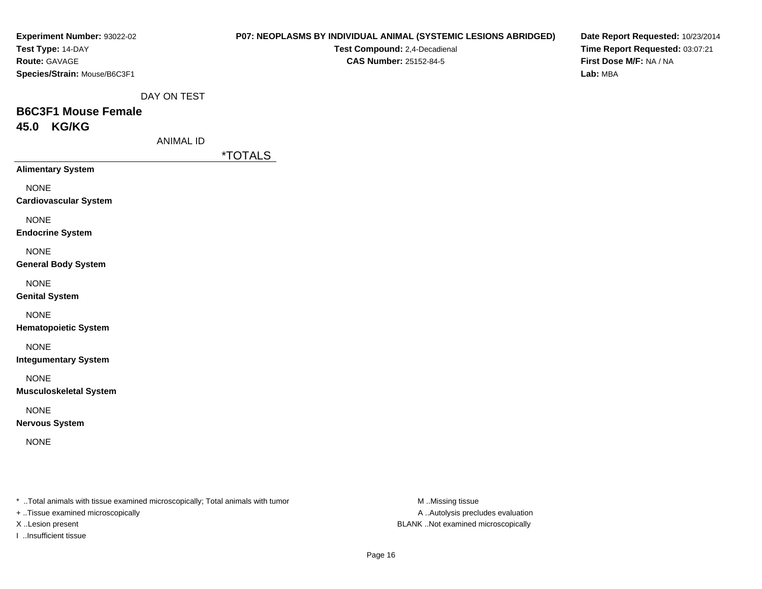| <b>Experiment Number: 93022-02</b><br>Test Type: 14-DAY<br>Route: GAVAGE<br>Species/Strain: Mouse/B6C3F1 |                  |                       | Test Compound: 2,4-Decadienal<br>CAS Number: 25152-84-5 | <b>P07: NEOPLASMS BY INDIVIDUAL ANIMAL (SYSTEMIC LESIONS ABRIDGED)</b> | Date Report Requested: 10/23/2014<br>Time Report Requested: 03:07:21<br>First Dose M/F: NA / NA<br>Lab: MBA |
|----------------------------------------------------------------------------------------------------------|------------------|-----------------------|---------------------------------------------------------|------------------------------------------------------------------------|-------------------------------------------------------------------------------------------------------------|
|                                                                                                          | DAY ON TEST      |                       |                                                         |                                                                        |                                                                                                             |
| <b>B6C3F1 Mouse Female</b><br>45.0 KG/KG                                                                 |                  |                       |                                                         |                                                                        |                                                                                                             |
|                                                                                                          | <b>ANIMAL ID</b> |                       |                                                         |                                                                        |                                                                                                             |
|                                                                                                          |                  | <i><b>*TOTALS</b></i> |                                                         |                                                                        |                                                                                                             |
| <b>Alimentary System</b>                                                                                 |                  |                       |                                                         |                                                                        |                                                                                                             |
| <b>NONE</b><br><b>Cardiovascular System</b>                                                              |                  |                       |                                                         |                                                                        |                                                                                                             |
| <b>NONE</b><br><b>Endocrine System</b>                                                                   |                  |                       |                                                         |                                                                        |                                                                                                             |
| <b>NONE</b><br><b>General Body System</b>                                                                |                  |                       |                                                         |                                                                        |                                                                                                             |
| <b>NONE</b><br><b>Genital System</b>                                                                     |                  |                       |                                                         |                                                                        |                                                                                                             |
| <b>NONE</b><br><b>Hematopoietic System</b>                                                               |                  |                       |                                                         |                                                                        |                                                                                                             |
| <b>NONE</b><br><b>Integumentary System</b>                                                               |                  |                       |                                                         |                                                                        |                                                                                                             |
| <b>NONE</b><br><b>Musculoskeletal System</b>                                                             |                  |                       |                                                         |                                                                        |                                                                                                             |
| <b>NONE</b><br><b>Nervous System</b>                                                                     |                  |                       |                                                         |                                                                        |                                                                                                             |
| <b>NONE</b>                                                                                              |                  |                       |                                                         |                                                                        |                                                                                                             |
| * Total animals with tissue examined microscopically; Total animals with tumor                           |                  |                       |                                                         | M Missing tissue                                                       |                                                                                                             |
| + Tissue examined microscopically                                                                        |                  |                       |                                                         | A  Autolysis precludes evaluation                                      |                                                                                                             |

X ..Lesion present BLANK ..Not examined microscopically

I ..Insufficient tissue

Page 16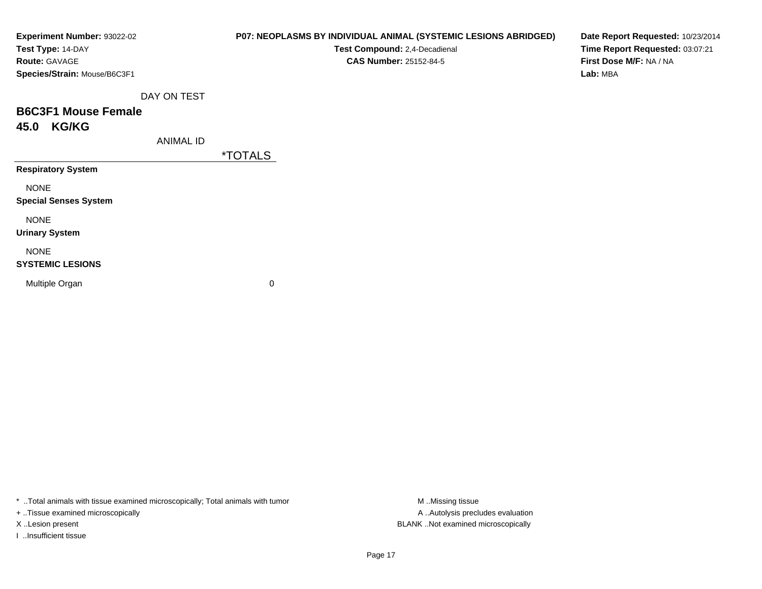| Experiment Number: 93022-02<br>Test Type: 14-DAY<br>Route: GAVAGE<br>Species/Strain: Mouse/B6C3F1 |                  | P07: NEOPLASMS BY INDIVIDUAL ANIMAL (SYSTEMIC LESIONS ABRIDGED)<br>Test Compound: 2,4-Decadienal<br><b>CAS Number: 25152-84-5</b> | Date Report Requested: 10/23/2014<br>Time Report Requested: 03:07:21<br>First Dose M/F: NA / NA<br>Lab: MBA |
|---------------------------------------------------------------------------------------------------|------------------|-----------------------------------------------------------------------------------------------------------------------------------|-------------------------------------------------------------------------------------------------------------|
|                                                                                                   | DAY ON TEST      |                                                                                                                                   |                                                                                                             |
| <b>B6C3F1 Mouse Female</b>                                                                        |                  |                                                                                                                                   |                                                                                                             |
| <b>KG/KG</b><br>45.0                                                                              |                  |                                                                                                                                   |                                                                                                             |
|                                                                                                   | <b>ANIMAL ID</b> |                                                                                                                                   |                                                                                                             |
|                                                                                                   |                  | <i><b>*TOTALS</b></i>                                                                                                             |                                                                                                             |
| <b>Respiratory System</b>                                                                         |                  |                                                                                                                                   |                                                                                                             |
| <b>NONE</b>                                                                                       |                  |                                                                                                                                   |                                                                                                             |
| <b>Special Senses System</b>                                                                      |                  |                                                                                                                                   |                                                                                                             |
| <b>NONE</b>                                                                                       |                  |                                                                                                                                   |                                                                                                             |
| <b>Urinary System</b>                                                                             |                  |                                                                                                                                   |                                                                                                             |
| <b>NONE</b>                                                                                       |                  |                                                                                                                                   |                                                                                                             |
| <b>SYSTEMIC LESIONS</b>                                                                           |                  |                                                                                                                                   |                                                                                                             |
| Multiple Organ                                                                                    |                  | 0                                                                                                                                 |                                                                                                             |
|                                                                                                   |                  |                                                                                                                                   |                                                                                                             |
|                                                                                                   |                  |                                                                                                                                   |                                                                                                             |

\* ..Total animals with tissue examined microscopically; Total animals with tumor M..Missing tissue M ..Missing tissue

+ ..Tissue examined microscopically

I ..Insufficient tissue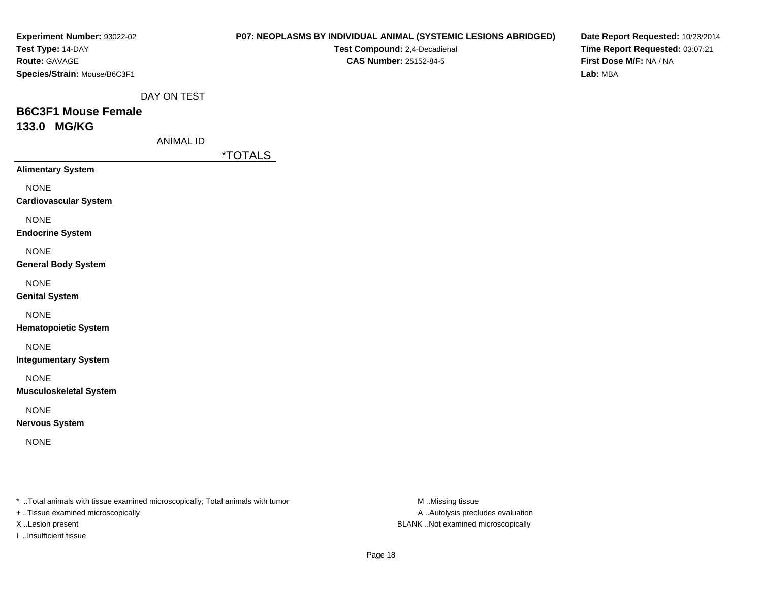| <b>Experiment Number: 93022-02</b><br>Test Type: 14-DAY<br>Route: GAVAGE<br>Species/Strain: Mouse/B6C3F1            |                  |                       | <b>P07: NEOPLASMS BY INDIVIDUAL ANIMAL (SYSTEMIC LESIONS ABRIDGED)</b><br>Test Compound: 2,4-Decadienal<br><b>CAS Number: 25152-84-5</b> | Date Report Requested: 10/23/2014<br>Time Report Requested: 03:07:21<br>First Dose M/F: NA / NA<br>Lab: MBA |
|---------------------------------------------------------------------------------------------------------------------|------------------|-----------------------|------------------------------------------------------------------------------------------------------------------------------------------|-------------------------------------------------------------------------------------------------------------|
|                                                                                                                     | DAY ON TEST      |                       |                                                                                                                                          |                                                                                                             |
| <b>B6C3F1 Mouse Female</b><br>133.0 MG/KG                                                                           |                  |                       |                                                                                                                                          |                                                                                                             |
|                                                                                                                     | <b>ANIMAL ID</b> |                       |                                                                                                                                          |                                                                                                             |
|                                                                                                                     |                  | <i><b>*TOTALS</b></i> |                                                                                                                                          |                                                                                                             |
| <b>Alimentary System</b>                                                                                            |                  |                       |                                                                                                                                          |                                                                                                             |
| <b>NONE</b><br><b>Cardiovascular System</b>                                                                         |                  |                       |                                                                                                                                          |                                                                                                             |
| <b>NONE</b><br><b>Endocrine System</b>                                                                              |                  |                       |                                                                                                                                          |                                                                                                             |
| <b>NONE</b><br><b>General Body System</b>                                                                           |                  |                       |                                                                                                                                          |                                                                                                             |
| <b>NONE</b><br><b>Genital System</b>                                                                                |                  |                       |                                                                                                                                          |                                                                                                             |
| <b>NONE</b><br><b>Hematopoietic System</b>                                                                          |                  |                       |                                                                                                                                          |                                                                                                             |
| <b>NONE</b><br><b>Integumentary System</b>                                                                          |                  |                       |                                                                                                                                          |                                                                                                             |
| <b>NONE</b><br><b>Musculoskeletal System</b>                                                                        |                  |                       |                                                                                                                                          |                                                                                                             |
| <b>NONE</b><br><b>Nervous System</b>                                                                                |                  |                       |                                                                                                                                          |                                                                                                             |
| <b>NONE</b>                                                                                                         |                  |                       |                                                                                                                                          |                                                                                                             |
|                                                                                                                     |                  |                       |                                                                                                                                          |                                                                                                             |
| * Total animals with tissue examined microscopically; Total animals with tumor<br>+ Tissue examined microscopically |                  |                       | M Missing tissue<br>A Autolysis precludes evaluation                                                                                     |                                                                                                             |

X ..Lesion present BLANK ..Not examined microscopically

I ..Insufficient tissue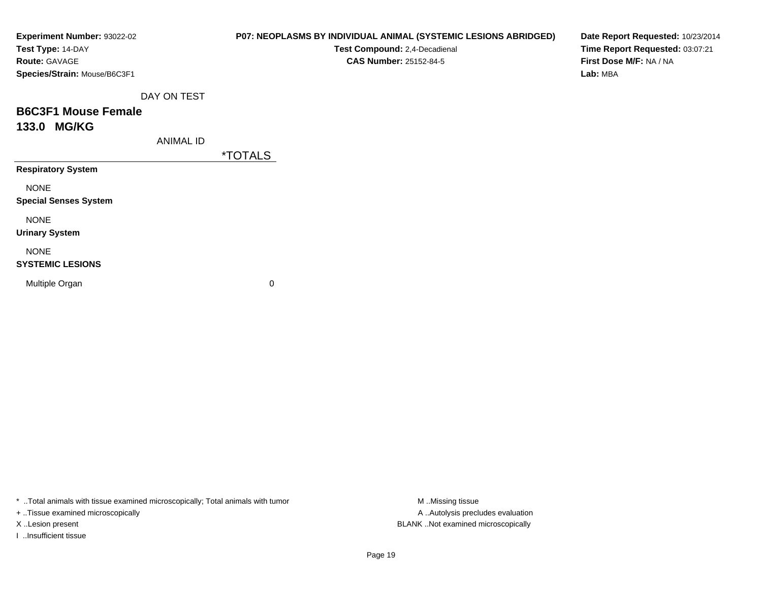| Experiment Number: 93022-02<br>Test Type: 14-DAY<br>Route: GAVAGE<br>Species/Strain: Mouse/B6C3F1 |                  | P07: NEOPLASMS BY INDIVIDUAL ANIMAL (SYSTEMIC LESIONS ABRIDGED)<br>Test Compound: 2,4-Decadienal<br><b>CAS Number: 25152-84-5</b> | Date Report Requested: 10/23/2014<br>Time Report Requested: 03:07:21<br>First Dose M/F: NA / NA<br>Lab: MBA |
|---------------------------------------------------------------------------------------------------|------------------|-----------------------------------------------------------------------------------------------------------------------------------|-------------------------------------------------------------------------------------------------------------|
|                                                                                                   | DAY ON TEST      |                                                                                                                                   |                                                                                                             |
| <b>B6C3F1 Mouse Female</b>                                                                        |                  |                                                                                                                                   |                                                                                                             |
| 133.0 MG/KG                                                                                       |                  |                                                                                                                                   |                                                                                                             |
|                                                                                                   | <b>ANIMAL ID</b> |                                                                                                                                   |                                                                                                             |
|                                                                                                   |                  | <i><b>*TOTALS</b></i>                                                                                                             |                                                                                                             |
| <b>Respiratory System</b>                                                                         |                  |                                                                                                                                   |                                                                                                             |
| <b>NONE</b>                                                                                       |                  |                                                                                                                                   |                                                                                                             |
| <b>Special Senses System</b>                                                                      |                  |                                                                                                                                   |                                                                                                             |
| <b>NONE</b>                                                                                       |                  |                                                                                                                                   |                                                                                                             |
| <b>Urinary System</b>                                                                             |                  |                                                                                                                                   |                                                                                                             |
| <b>NONE</b>                                                                                       |                  |                                                                                                                                   |                                                                                                             |
| <b>SYSTEMIC LESIONS</b>                                                                           |                  |                                                                                                                                   |                                                                                                             |
| Multiple Organ                                                                                    |                  | $\mathbf 0$                                                                                                                       |                                                                                                             |
|                                                                                                   |                  |                                                                                                                                   |                                                                                                             |
|                                                                                                   |                  |                                                                                                                                   |                                                                                                             |

\* ..Total animals with tissue examined microscopically; Total animals with tumor M..Missing tissue M ..Missing tissue

+ ..Tissue examined microscopically

I ..Insufficient tissue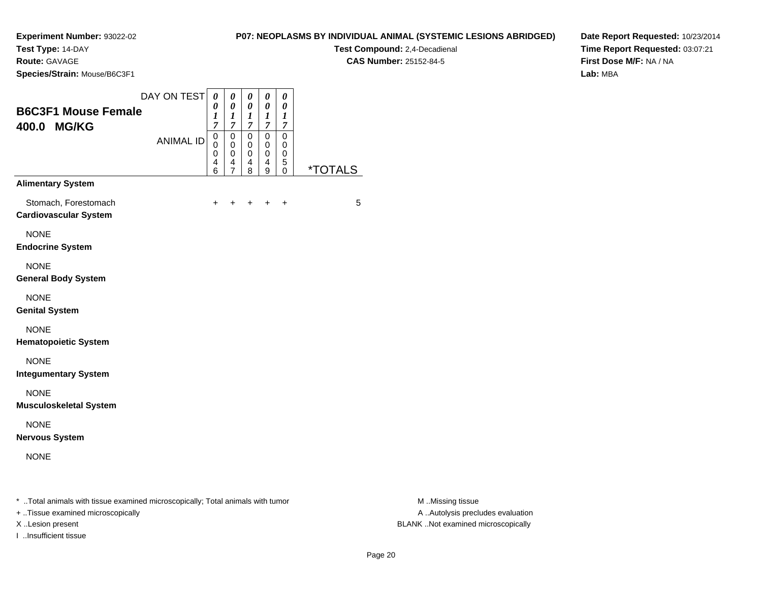**Test Type:** 14-DAY

**Route:** GAVAGE

**Species/Strain:** Mouse/B6C3F1

**Test Compound:** 2,4-Decadienal **CAS Number:** 25152-84-5

**Date Report Requested:** 10/23/2014**Time Report Requested:** 03:07:21**First Dose M/F:** NA / NA**Lab:** MBA

|                                                      | DAY ON TEST      | 0<br>0                | 0<br>0                                       | 0<br>0                | 0<br>0                          | 0<br>0                |                       |
|------------------------------------------------------|------------------|-----------------------|----------------------------------------------|-----------------------|---------------------------------|-----------------------|-----------------------|
| <b>B6C3F1 Mouse Female</b><br>400.0 MG/KG            |                  | 1<br>$\overline{7}$   | 1<br>$\overline{7}$                          | 1<br>$\overline{7}$   | 1<br>$\overline{7}$             | 1<br>7                |                       |
|                                                      | <b>ANIMAL ID</b> | 0<br>0<br>0<br>4<br>6 | 0<br>$\mathbf 0$<br>0<br>4<br>$\overline{7}$ | 0<br>0<br>0<br>4<br>8 | $\mathbf 0$<br>0<br>0<br>4<br>9 | 0<br>0<br>0<br>5<br>0 | <i><b>*TOTALS</b></i> |
| <b>Alimentary System</b>                             |                  |                       |                                              |                       |                                 |                       |                       |
| Stomach, Forestomach<br><b>Cardiovascular System</b> |                  | $\ddot{}$             | $\ddot{}$                                    | $\ddot{}$             | $\pm$                           | $\ddot{}$             | 5                     |
| <b>NONE</b><br><b>Endocrine System</b>               |                  |                       |                                              |                       |                                 |                       |                       |
| <b>NONE</b><br><b>General Body System</b>            |                  |                       |                                              |                       |                                 |                       |                       |
| <b>NONE</b><br><b>Genital System</b>                 |                  |                       |                                              |                       |                                 |                       |                       |
| <b>NONE</b><br><b>Hematopoietic System</b>           |                  |                       |                                              |                       |                                 |                       |                       |
| <b>NONE</b><br><b>Integumentary System</b>           |                  |                       |                                              |                       |                                 |                       |                       |
| <b>NONE</b><br><b>Musculoskeletal System</b>         |                  |                       |                                              |                       |                                 |                       |                       |
| <b>NONE</b><br><b>Nervous System</b>                 |                  |                       |                                              |                       |                                 |                       |                       |
| <b>NONE</b>                                          |                  |                       |                                              |                       |                                 |                       |                       |

\* ..Total animals with tissue examined microscopically; Total animals with tumor **M** . Missing tissue M ..Missing tissue

+ ..Tissue examined microscopically

I ..Insufficient tissue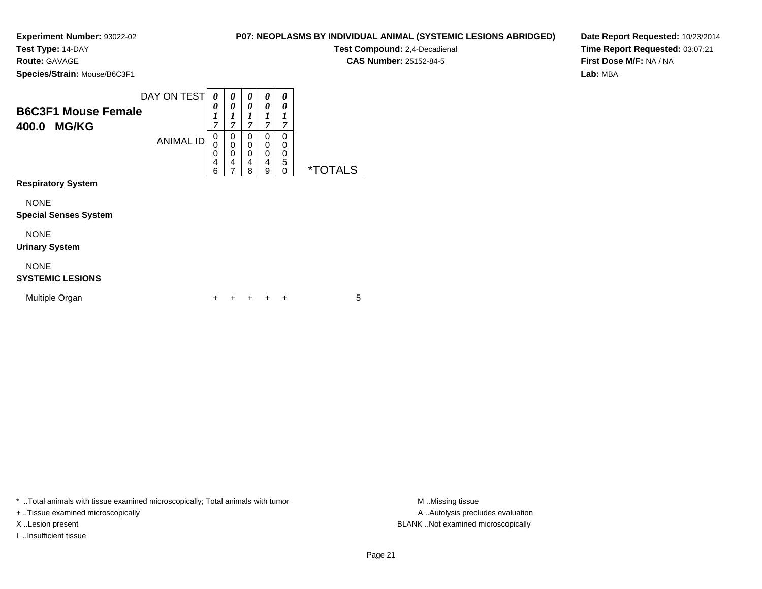**Test Type:** 14-DAY

**Route:** GAVAGE

**Species/Strain:** Mouse/B6C3F1

**Test Compound:** 2,4-Decadienal **CAS Number:** 25152-84-5

**Date Report Requested:** 10/23/2014**Time Report Requested:** 03:07:21**First Dose M/F:** NA / NA**Lab:** MBA

| <b>B6C3F1 Mouse Female</b><br>400.0<br><b>MG/KG</b> | DAY ON TEST<br><b>ANIMAL ID</b> | 0<br>0<br>1<br>$\overline{7}$<br>0<br>0<br>0<br>4<br>6 | 0<br>0<br>1<br>$\overline{7}$<br>0<br>$\pmb{0}$<br>$\boldsymbol{0}$<br>4<br>$\overline{7}$ | 0<br>0<br>1<br>$\overline{7}$<br>0<br>0<br>0<br>4<br>8 | 0<br>0<br>7<br>0<br>0<br>0<br>4<br>9 | 0<br>0<br>1<br>7<br>0<br>0<br>0<br>5<br>$\Omega$ | <i><b>*TOTALS</b></i> |
|-----------------------------------------------------|---------------------------------|--------------------------------------------------------|--------------------------------------------------------------------------------------------|--------------------------------------------------------|--------------------------------------|--------------------------------------------------|-----------------------|
| <b>Respiratory System</b>                           |                                 |                                                        |                                                                                            |                                                        |                                      |                                                  |                       |
| <b>NONE</b><br><b>Special Senses System</b>         |                                 |                                                        |                                                                                            |                                                        |                                      |                                                  |                       |
| <b>NONE</b><br><b>Urinary System</b>                |                                 |                                                        |                                                                                            |                                                        |                                      |                                                  |                       |
| <b>NONE</b><br><b>SYSTEMIC LESIONS</b>              |                                 |                                                        |                                                                                            |                                                        |                                      |                                                  |                       |
| Multiple Organ                                      |                                 |                                                        |                                                                                            |                                                        |                                      | $\ddot{}$                                        | 5                     |

\* ..Total animals with tissue examined microscopically; Total animals with tumor **M** . Missing tissue M ..Missing tissue

+ ..Tissue examined microscopically

I ..Insufficient tissue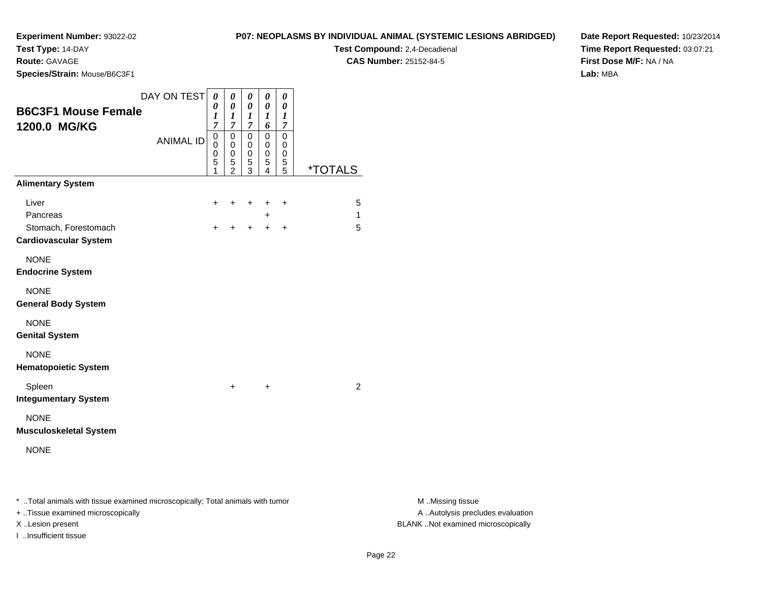**Test Type:** 14-DAY

**Route:** GAVAGE

**Species/Strain:** Mouse/B6C3F1

**Test Compound:** 2,4-Decadienal **CAS Number:** 25152-84-5

**Date Report Requested:** 10/23/2014**Time Report Requested:** 03:07:21**First Dose M/F:** NA / NA**Lab:** MBA

|                                                      | DAY ON TEST      | 0                             | 0                                         | 0                                         | 0              | 0                     |                       |
|------------------------------------------------------|------------------|-------------------------------|-------------------------------------------|-------------------------------------------|----------------|-----------------------|-----------------------|
| <b>B6C3F1 Mouse Female</b>                           |                  | 0<br>$\boldsymbol{l}$         | $\boldsymbol{\theta}$<br>$\boldsymbol{l}$ | $\boldsymbol{\theta}$<br>$\boldsymbol{l}$ | 0<br>1         | 0<br>$\boldsymbol{l}$ |                       |
| 1200.0 MG/KG                                         |                  | $\overline{7}$<br>$\mathbf 0$ | $\overline{7}$<br>$\mathbf 0$             | $\overline{7}$<br>0                       | 6<br>0         | 7<br>$\mathbf 0$      |                       |
|                                                      | <b>ANIMAL ID</b> | $\mathbf 0$                   | $\mathbf 0$                               | 0                                         | 0              | 0                     |                       |
|                                                      |                  | 0<br>5                        | 0<br>5                                    | 0<br>5                                    | 0<br>5         | 0<br>5                |                       |
| <b>Alimentary System</b>                             |                  | 1                             | $\bar{2}$                                 | $\overline{3}$                            | $\overline{4}$ | $\overline{5}$        | <i><b>*TOTALS</b></i> |
| Liver                                                |                  | +                             | ٠                                         | ÷                                         | +              | +                     | 5                     |
| Pancreas                                             |                  |                               |                                           |                                           | $\ddot{}$      |                       | 1                     |
| Stomach, Forestomach<br><b>Cardiovascular System</b> |                  | $\ddot{}$                     | $\ddot{}$                                 | $+$                                       | $+$            | $\ddot{}$             | 5                     |
| <b>NONE</b>                                          |                  |                               |                                           |                                           |                |                       |                       |
| <b>Endocrine System</b>                              |                  |                               |                                           |                                           |                |                       |                       |
| <b>NONE</b>                                          |                  |                               |                                           |                                           |                |                       |                       |
| <b>General Body System</b>                           |                  |                               |                                           |                                           |                |                       |                       |
| <b>NONE</b>                                          |                  |                               |                                           |                                           |                |                       |                       |
| <b>Genital System</b>                                |                  |                               |                                           |                                           |                |                       |                       |
| <b>NONE</b>                                          |                  |                               |                                           |                                           |                |                       |                       |
| <b>Hematopoietic System</b>                          |                  |                               |                                           |                                           |                |                       |                       |
| Spleen                                               |                  |                               | $\ddot{}$                                 |                                           | +              |                       | $\overline{2}$        |
| <b>Integumentary System</b>                          |                  |                               |                                           |                                           |                |                       |                       |
| <b>NONE</b>                                          |                  |                               |                                           |                                           |                |                       |                       |
| <b>Musculoskeletal System</b>                        |                  |                               |                                           |                                           |                |                       |                       |
| <b>NONE</b>                                          |                  |                               |                                           |                                           |                |                       |                       |
|                                                      |                  |                               |                                           |                                           |                |                       |                       |
|                                                      |                  |                               |                                           |                                           |                |                       |                       |
|                                                      | $\cdot$ $\cdot$  |                               |                                           |                                           |                |                       |                       |

\* ..Total animals with tissue examined microscopically; Total animals with tumor **M** ...Missing tissue M ...Missing tissue

+ ..Tissue examined microscopically

I ..Insufficient tissue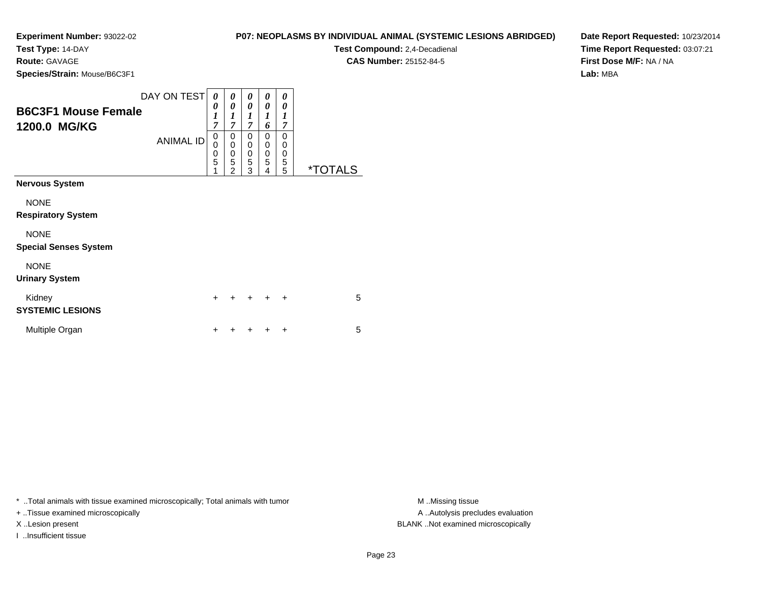**Test Type:** 14-DAY

**Route:** GAVAGE

**Species/Strain:** Mouse/B6C3F1

|  | P07: NEOPLASMS BY INDIVIDUAL ANIMAL (SYSTEMIC LESIONS ABRIDGED) |
|--|-----------------------------------------------------------------|
|--|-----------------------------------------------------------------|

**Test Compound:** 2,4-Decadienal **CAS Number:** 25152-84-5

**Date Report Requested:** 10/23/2014**Time Report Requested:** 03:07:21**First Dose M/F:** NA / NA**Lab:** MBA

| <b>B6C3F1 Mouse Female</b><br>1200.0 MG/KG  | DAY ON TEST<br><b>ANIMAL ID</b> | 0<br>0<br>$\boldsymbol{l}$<br>$\overline{7}$<br>0<br>0<br>0<br>5 | 0<br>0<br>$\boldsymbol{l}$<br>$\overline{7}$<br>0<br>$\mathbf 0$<br>$\mathbf 0$<br>5 | 0<br>0<br>1<br>$\overline{7}$<br>0<br>$\mathbf 0$<br>$\mathbf 0$<br>5 | 0<br>0<br>1<br>6<br>0<br>0<br>0<br>5 | 0<br>0<br>1<br>7<br>$\mathbf{0}$<br>0<br>0<br>5 |                       |
|---------------------------------------------|---------------------------------|------------------------------------------------------------------|--------------------------------------------------------------------------------------|-----------------------------------------------------------------------|--------------------------------------|-------------------------------------------------|-----------------------|
| <b>Nervous System</b>                       |                                 | 1                                                                | $\overline{2}$                                                                       | 3                                                                     | 4                                    | 5                                               | <i><b>*TOTALS</b></i> |
| <b>NONE</b><br><b>Respiratory System</b>    |                                 |                                                                  |                                                                                      |                                                                       |                                      |                                                 |                       |
| <b>NONE</b><br><b>Special Senses System</b> |                                 |                                                                  |                                                                                      |                                                                       |                                      |                                                 |                       |
| <b>NONE</b><br><b>Urinary System</b>        |                                 |                                                                  |                                                                                      |                                                                       |                                      |                                                 |                       |
| Kidney<br><b>SYSTEMIC LESIONS</b>           |                                 | $\ddot{}$                                                        | $\ddot{}$                                                                            | $\div$                                                                | $\div$                               | $\ddot{}$                                       | 5                     |
| Multiple Organ                              |                                 |                                                                  |                                                                                      |                                                                       |                                      | +                                               | 5                     |

\* ..Total animals with tissue examined microscopically; Total animals with tumor **M** ..Missing tissue M ..Missing tissue

+ ..Tissue examined microscopically

I ..Insufficient tissue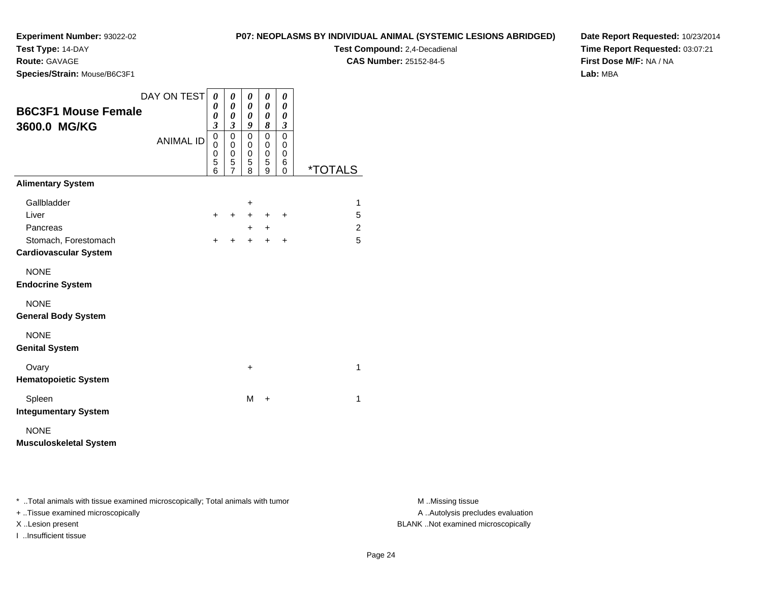**Test Type:** 14-DAY

**Route:** GAVAGE

**Species/Strain:** Mouse/B6C3F1

**Test Compound:** 2,4-Decadienal

**CAS Number:** 25152-84-5

**Date Report Requested:** 10/23/2014**Time Report Requested:** 03:07:21**First Dose M/F:** NA / NA**Lab:** MBA

|                               | DAY ON TEST      | 0         | 0                   | 0                                       | 0         | 0         |                       |
|-------------------------------|------------------|-----------|---------------------|-----------------------------------------|-----------|-----------|-----------------------|
| <b>B6C3F1 Mouse Female</b>    |                  | 0<br>0    | 0<br>0              | $\boldsymbol{\theta}$<br>$\pmb{\theta}$ | 0<br>0    | 0<br>0    |                       |
| 3600.0 MG/KG                  |                  | 3         | 3                   | 9                                       | 8         | 3         |                       |
|                               | <b>ANIMAL ID</b> | 0<br>0    | 0<br>0              | 0<br>0                                  | 0<br>0    | 0<br>0    |                       |
|                               |                  | 0<br>5    | 0                   | 0<br>5                                  | 0<br>5    | 0<br>6    |                       |
|                               |                  | 6         | 5<br>$\overline{7}$ | 8                                       | 9         | 0         | <i><b>*TOTALS</b></i> |
| <b>Alimentary System</b>      |                  |           |                     |                                         |           |           |                       |
| Gallbladder                   |                  |           |                     | +                                       |           |           | 1                     |
| Liver                         |                  | $\div$    | $\ddot{}$           | $+$                                     | $\div$    | $\ddot{}$ | 5                     |
| Pancreas                      |                  |           |                     | $\ddot{}$                               | $\ddot{}$ |           | 2                     |
| Stomach, Forestomach          |                  | $\ddot{}$ | ÷                   | $\ddot{}$                               | $+$       | $\ddot{}$ | 5                     |
| <b>Cardiovascular System</b>  |                  |           |                     |                                         |           |           |                       |
| <b>NONE</b>                   |                  |           |                     |                                         |           |           |                       |
| <b>Endocrine System</b>       |                  |           |                     |                                         |           |           |                       |
| <b>NONE</b>                   |                  |           |                     |                                         |           |           |                       |
| <b>General Body System</b>    |                  |           |                     |                                         |           |           |                       |
| <b>NONE</b>                   |                  |           |                     |                                         |           |           |                       |
| <b>Genital System</b>         |                  |           |                     |                                         |           |           |                       |
| Ovary                         |                  |           |                     | $\ddot{}$                               |           |           | $\mathbf{1}$          |
| <b>Hematopoietic System</b>   |                  |           |                     |                                         |           |           |                       |
| Spleen                        |                  |           |                     | M                                       | +         |           | 1                     |
| <b>Integumentary System</b>   |                  |           |                     |                                         |           |           |                       |
| <b>NONE</b>                   |                  |           |                     |                                         |           |           |                       |
| <b>Musculoskeletal System</b> |                  |           |                     |                                         |           |           |                       |

\* ..Total animals with tissue examined microscopically; Total animals with tumor **M** . Missing tissue M ..Missing tissue

+ ..Tissue examined microscopically

I ..Insufficient tissue